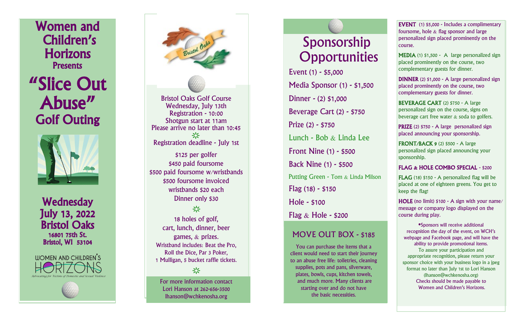Women and<br>Children's **Horizons Presents** 

"Slice Out Abuse" Golf Outing



**Wednesday** July 13, 2022 Bristol Oaks 16801 75th St. Bristol, WI 53104

**ILIOMEN AND CHILDREN'S** 



Bristol Oaks Golf Course Wednesday, July 13th Registration - 10:00 Shotgun start at 11am Please arrive no later than 10:45 ÷Ò. Registration deadline - July 1st \$125 per golfer \$450 paid foursome \$500 paid foursome w/wristbands \$500 foursome invoiced wristbands \$20 each Dinner only \$30 亭 18 holes of golf,

cart, lunch, dinner, beer games, & prizes. Wristband includes: Beat the Pro, Roll the Dice, Par 3 Poker, 1 Mulligan, 5 bucket raffle tickets.

For more information contact Lori Hanson at 262 -656 -3500 lhanson@wchkenosha.org

÷Ò-

# Sponsorship **Opportunities**

Event (1) - \$5,000 Media Sponsor (1) - \$1,500 Dinner - (2) \$1,000 Beverage Cart (2) - \$750 Prize (2) - \$750 Lunch - Bob & Linda Lee Front Nine (1) - \$500 Back Nine (1) - \$500 Putting Green - Tom  $\&$  Linda Milson Flag (18) - \$150 Hole - \$100 Flag  $\&$  Hole - \$200

## MOVE OUT BOX - \$185

You can purchase the items that a client would need to start their journey to an abuse free life: toiletries, cleaning supplies, pots and pans, silverware, plates, bowls, cups, kitchen towels, and much more. Many clients are starting over and do not have the basic necessities.

**EVENT** (1) \$5,000 - Includes a complimentary foursome, hole  $&$  flag sponsor and large personalized sign placed prominently on the course.

MEDIA (1) \$1,500 - A large personalized sign placed prominently on the course, two complementary guests for dinner.

DINNER (2) \$1,000 - A large personalized sign placed prominently on the course, two complementary guests for dinner.

BEVERAGE CART (2) \$750 - A large personalized sign on the course, signs on beverage cart free water  $&$  soda to golfers.

PRIZE (2) \$750 - A large personalized sign placed announcing your sponsorship.

**FRONT/BACK 9 (2) \$500 - A large** personalized sign placed announcing your sponsorship.

### FLAG & HOLE COMBO SPECIAL - \$200

**FLAG** (18)  $$150 - A$  personalized flag will be placed at one of eighteen greens. You get to keep the flag!

HOLE (no limit) \$100 - A sign with your name/ message or company logo displayed on the course during play.

\*Sponsors will receive additional recognition the day of the event, on WCH's webpage and Facebook page, and will have the ability to provide promotional items. To assure your participation and appropriate recognition, please return your sponsor choice with your business logo in a jpeg format no later than July 1st to Lori Hanson (lhanson@wchkenosha.org) Checks should be made payable to Women and Children's Horizons.